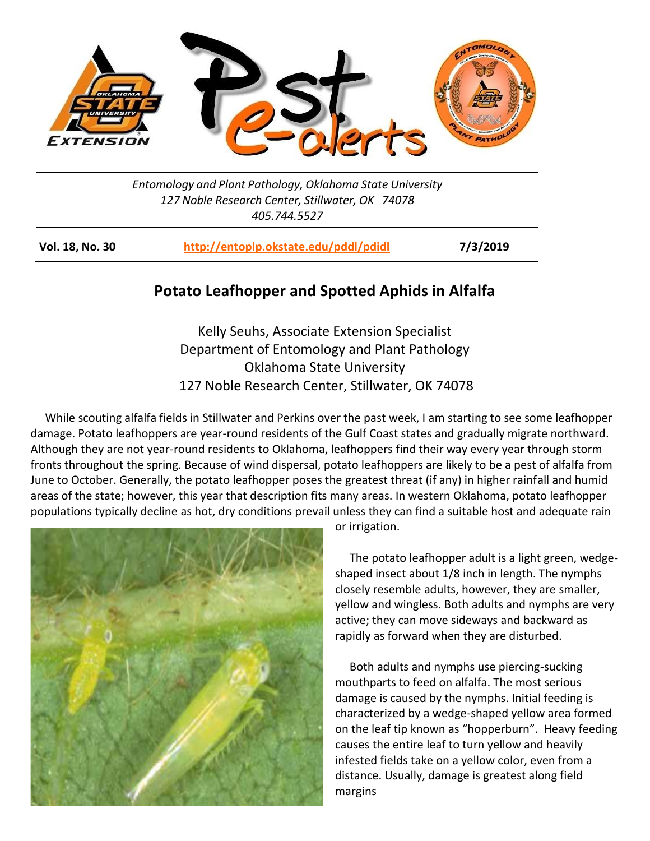

*Entomology and Plant Pathology, Oklahoma State University 127 Noble Research Center, Stillwater, OK 74078 405.744.5527*

**Vol. 18, No. 30 <http://entoplp.okstate.edu/pddl/pdidl> 7/3/2019**

## **Potato Leafhopper and Spotted Aphids in Alfalfa**

Kelly Seuhs, Associate Extension Specialist Department of Entomology and Plant Pathology Oklahoma State University 127 Noble Research Center, Stillwater, OK 74078

 While scouting alfalfa fields in Stillwater and Perkins over the past week, I am starting to see some leafhopper damage. Potato leafhoppers are year-round residents of the Gulf Coast states and gradually migrate northward. Although they are not year-round residents to Oklahoma, leafhoppers find their way every year through storm fronts throughout the spring. Because of wind dispersal, potato leafhoppers are likely to be a pest of alfalfa from June to October. Generally, the potato leafhopper poses the greatest threat (if any) in higher rainfall and humid areas of the state; however, this year that description fits many areas. In western Oklahoma, potato leafhopper populations typically decline as hot, dry conditions prevail unless they can find a suitable host and adequate rain



or irrigation.

 The potato leafhopper adult is a light green, wedgeshaped insect about 1/8 inch in length. The nymphs closely resemble adults, however, they are smaller, yellow and wingless. Both adults and nymphs are very active; they can move sideways and backward as rapidly as forward when they are disturbed.

 Both adults and nymphs use piercing-sucking mouthparts to feed on alfalfa. The most serious damage is caused by the nymphs. Initial feeding is characterized by a wedge-shaped yellow area formed on the leaf tip known as "hopperburn". Heavy feeding causes the entire leaf to turn yellow and heavily infested fields take on a yellow color, even from a distance. Usually, damage is greatest along field margins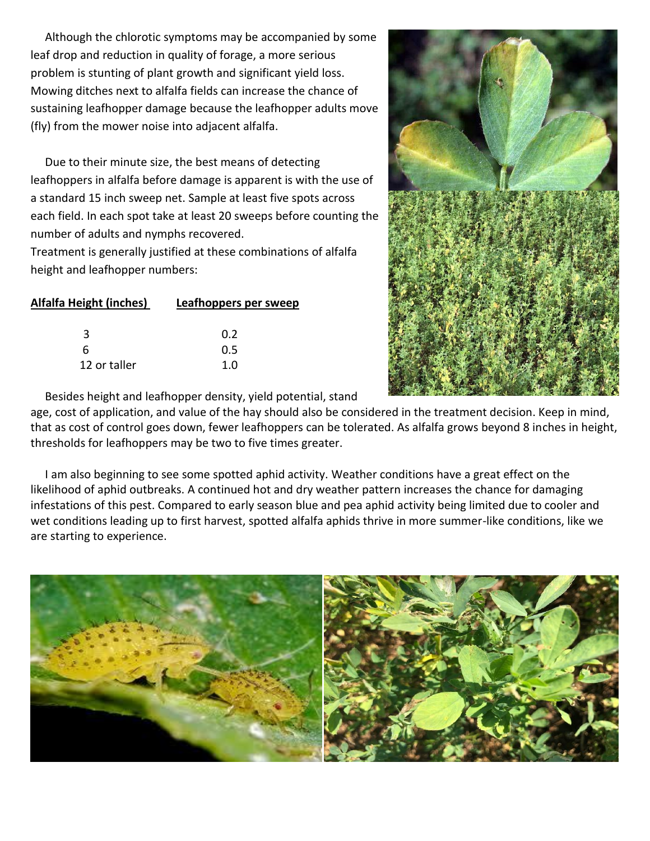Although the chlorotic symptoms may be accompanied by some leaf drop and reduction in quality of forage, a more serious problem is stunting of plant growth and significant yield loss. Mowing ditches next to alfalfa fields can increase the chance of sustaining leafhopper damage because the leafhopper adults move (fly) from the mower noise into adjacent alfalfa.

 Due to their minute size, the best means of detecting leafhoppers in alfalfa before damage is apparent is with the use of a standard 15 inch sweep net. Sample at least five spots across each field. In each spot take at least 20 sweeps before counting the number of adults and nymphs recovered.

Treatment is generally justified at these combinations of alfalfa height and leafhopper numbers:

| <b>Alfalfa Height (inches)</b> | Leafhoppers per sweep |
|--------------------------------|-----------------------|
|                                |                       |

|              | 0.2           |
|--------------|---------------|
| 6            | $0.5^{\circ}$ |
| 12 or taller | 1.0           |



Besides height and leafhopper density, yield potential, stand

age, cost of application, and value of the hay should also be considered in the treatment decision. Keep in mind, that as cost of control goes down, fewer leafhoppers can be tolerated. As alfalfa grows beyond 8 inches in height, thresholds for leafhoppers may be two to five times greater.

 I am also beginning to see some spotted aphid activity. Weather conditions have a great effect on the likelihood of aphid outbreaks. A continued hot and dry weather pattern increases the chance for damaging infestations of this pest. Compared to early season blue and pea aphid activity being limited due to cooler and wet conditions leading up to first harvest, spotted alfalfa aphids thrive in more summer-like conditions, like we are starting to experience.